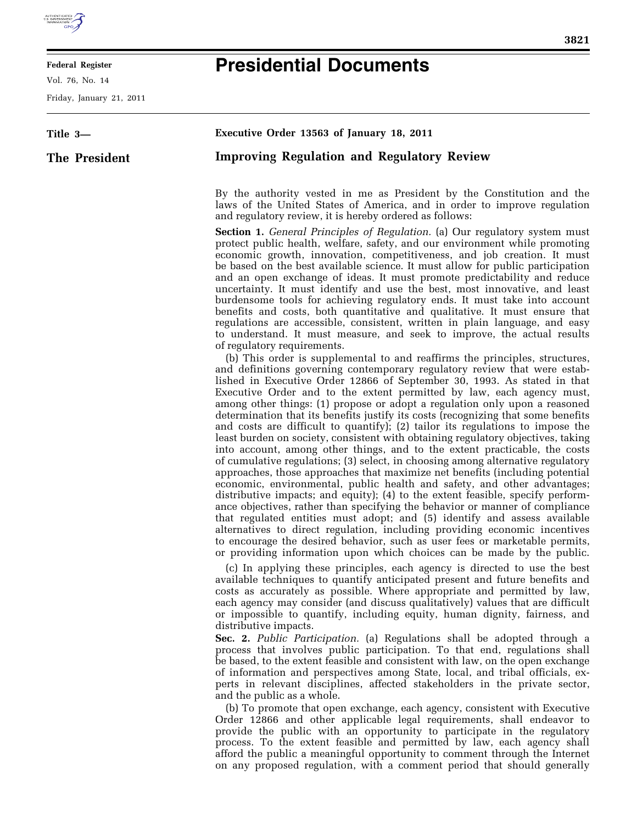

## **Federal Register**

Vol. 76, No. 14

Friday, January 21, 2011

## **Presidential Documents**

**Title 3— The President Executive Order 13563 of January 18, 2011 Improving Regulation and Regulatory Review**  By the authority vested in me as President by the Constitution and the laws of the United States of America, and in order to improve regulation and regulatory review, it is hereby ordered as follows: **Section 1.** *General Principles of Regulation.* (a) Our regulatory system must protect public health, welfare, safety, and our environment while promoting economic growth, innovation, competitiveness, and job creation. It must be based on the best available science. It must allow for public participation and an open exchange of ideas. It must promote predictability and reduce uncertainty. It must identify and use the best, most innovative, and least burdensome tools for achieving regulatory ends. It must take into account benefits and costs, both quantitative and qualitative. It must ensure that regulations are accessible, consistent, written in plain language, and easy to understand. It must measure, and seek to improve, the actual results of regulatory requirements. (b) This order is supplemental to and reaffirms the principles, structures, and definitions governing contemporary regulatory review that were established in Executive Order 12866 of September 30, 1993. As stated in that Executive Order and to the extent permitted by law, each agency must, among other things: (1) propose or adopt a regulation only upon a reasoned determination that its benefits justify its costs (recognizing that some benefits and costs are difficult to quantify); (2) tailor its regulations to impose the least burden on society, consistent with obtaining regulatory objectives, taking into account, among other things, and to the extent practicable, the costs of cumulative regulations; (3) select, in choosing among alternative regulatory approaches, those approaches that maximize net benefits (including potential economic, environmental, public health and safety, and other advantages; distributive impacts; and equity); (4) to the extent feasible, specify performance objectives, rather than specifying the behavior or manner of compliance that regulated entities must adopt; and (5) identify and assess available alternatives to direct regulation, including providing economic incentives

> (c) In applying these principles, each agency is directed to use the best available techniques to quantify anticipated present and future benefits and costs as accurately as possible. Where appropriate and permitted by law, each agency may consider (and discuss qualitatively) values that are difficult or impossible to quantify, including equity, human dignity, fairness, and distributive impacts.

> to encourage the desired behavior, such as user fees or marketable permits, or providing information upon which choices can be made by the public.

> **Sec. 2.** *Public Participation.* (a) Regulations shall be adopted through a process that involves public participation. To that end, regulations shall be based, to the extent feasible and consistent with law, on the open exchange of information and perspectives among State, local, and tribal officials, experts in relevant disciplines, affected stakeholders in the private sector, and the public as a whole.

> (b) To promote that open exchange, each agency, consistent with Executive Order 12866 and other applicable legal requirements, shall endeavor to provide the public with an opportunity to participate in the regulatory process. To the extent feasible and permitted by law, each agency shall afford the public a meaningful opportunity to comment through the Internet on any proposed regulation, with a comment period that should generally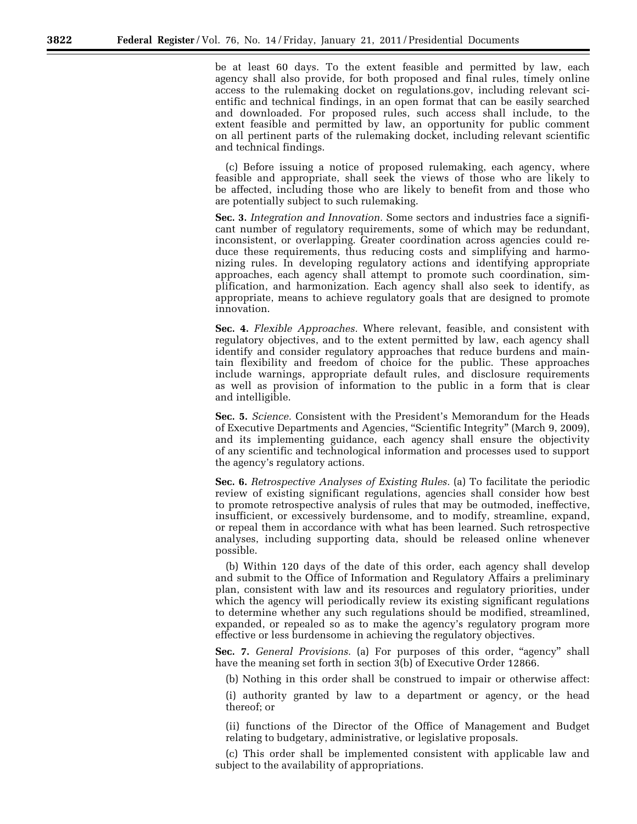be at least 60 days. To the extent feasible and permitted by law, each agency shall also provide, for both proposed and final rules, timely online access to the rulemaking docket on regulations.gov, including relevant scientific and technical findings, in an open format that can be easily searched and downloaded. For proposed rules, such access shall include, to the extent feasible and permitted by law, an opportunity for public comment on all pertinent parts of the rulemaking docket, including relevant scientific and technical findings.

(c) Before issuing a notice of proposed rulemaking, each agency, where feasible and appropriate, shall seek the views of those who are likely to be affected, including those who are likely to benefit from and those who are potentially subject to such rulemaking.

**Sec. 3.** *Integration and Innovation.* Some sectors and industries face a significant number of regulatory requirements, some of which may be redundant, inconsistent, or overlapping. Greater coordination across agencies could reduce these requirements, thus reducing costs and simplifying and harmonizing rules. In developing regulatory actions and identifying appropriate approaches, each agency shall attempt to promote such coordination, simplification, and harmonization. Each agency shall also seek to identify, as appropriate, means to achieve regulatory goals that are designed to promote innovation.

**Sec. 4.** *Flexible Approaches.* Where relevant, feasible, and consistent with regulatory objectives, and to the extent permitted by law, each agency shall identify and consider regulatory approaches that reduce burdens and maintain flexibility and freedom of choice for the public. These approaches include warnings, appropriate default rules, and disclosure requirements as well as provision of information to the public in a form that is clear and intelligible.

**Sec. 5.** *Science.* Consistent with the President's Memorandum for the Heads of Executive Departments and Agencies, "Scientific Integrity" (March 9, 2009), and its implementing guidance, each agency shall ensure the objectivity of any scientific and technological information and processes used to support the agency's regulatory actions.

**Sec. 6.** *Retrospective Analyses of Existing Rules.* (a) To facilitate the periodic review of existing significant regulations, agencies shall consider how best to promote retrospective analysis of rules that may be outmoded, ineffective, insufficient, or excessively burdensome, and to modify, streamline, expand, or repeal them in accordance with what has been learned. Such retrospective analyses, including supporting data, should be released online whenever possible.

(b) Within 120 days of the date of this order, each agency shall develop and submit to the Office of Information and Regulatory Affairs a preliminary plan, consistent with law and its resources and regulatory priorities, under which the agency will periodically review its existing significant regulations to determine whether any such regulations should be modified, streamlined, expanded, or repealed so as to make the agency's regulatory program more effective or less burdensome in achieving the regulatory objectives.

**Sec. 7.** *General Provisions.* (a) For purposes of this order, "agency" shall have the meaning set forth in section 3(b) of Executive Order 12866.

(b) Nothing in this order shall be construed to impair or otherwise affect:

(i) authority granted by law to a department or agency, or the head thereof; or

(ii) functions of the Director of the Office of Management and Budget relating to budgetary, administrative, or legislative proposals.

(c) This order shall be implemented consistent with applicable law and subject to the availability of appropriations.